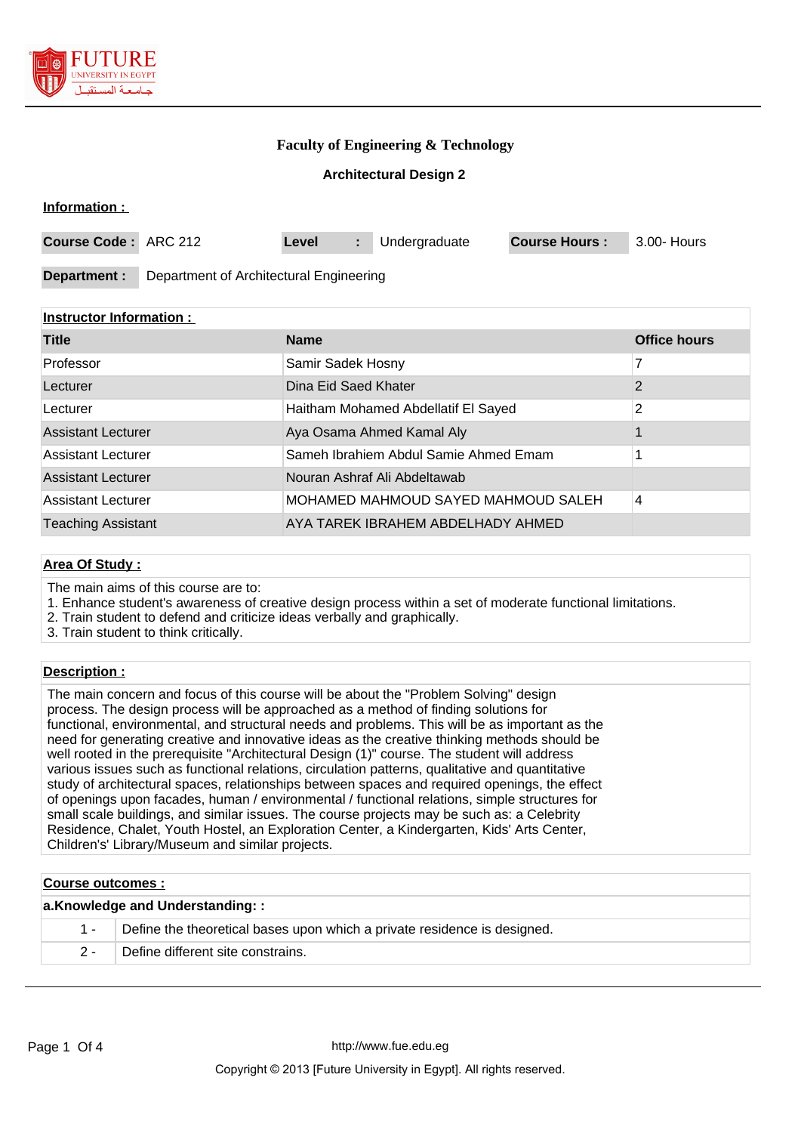

**Information :** 

# **Faculty of Engineering & Technology**

### **Architectural Design 2**

| THUITHAUUH .         |                                         |       |  |               |                      |             |
|----------------------|-----------------------------------------|-------|--|---------------|----------------------|-------------|
| Course Code: ARC 212 |                                         | Level |  | Undergraduate | <b>Course Hours:</b> | 3.00- Hours |
| Department :         | Department of Architectural Engineering |       |  |               |                      |             |

## **Instructor Information :**

| <b>Title</b>              | <b>Name</b>                           | <b>Office hours</b> |
|---------------------------|---------------------------------------|---------------------|
| Professor                 | Samir Sadek Hosny                     | 7                   |
| Lecturer                  | Dina Eid Saed Khater                  | 2                   |
| Lecturer                  | Haitham Mohamed Abdellatif El Sayed   | 2                   |
| <b>Assistant Lecturer</b> | Aya Osama Ahmed Kamal Aly             |                     |
| <b>Assistant Lecturer</b> | Sameh Ibrahiem Abdul Samie Ahmed Emam |                     |
| <b>Assistant Lecturer</b> | Nouran Ashraf Ali Abdeltawab          |                     |
| <b>Assistant Lecturer</b> | MOHAMED MAHMOUD SAYED MAHMOUD SALEH   | 4                   |
| <b>Teaching Assistant</b> | AYA TAREK IBRAHEM ABDELHADY AHMED     |                     |

### **Area Of Study :**

The main aims of this course are to:

1. Enhance student's awareness of creative design process within a set of moderate functional limitations.

2. Train student to defend and criticize ideas verbally and graphically.

3. Train student to think critically.

### **Description :**

The main concern and focus of this course will be about the "Problem Solving" design process. The design process will be approached as a method of finding solutions for functional, environmental, and structural needs and problems. This will be as important as the need for generating creative and innovative ideas as the creative thinking methods should be well rooted in the prerequisite "Architectural Design (1)" course. The student will address various issues such as functional relations, circulation patterns, qualitative and quantitative study of architectural spaces, relationships between spaces and required openings, the effect of openings upon facades, human / environmental / functional relations, simple structures for small scale buildings, and similar issues. The course projects may be such as: a Celebrity Residence, Chalet, Youth Hostel, an Exploration Center, a Kindergarten, Kids' Arts Center, Children's' Library/Museum and similar projects.

### **Course outcomes :**

| a.Knowledge and Understanding:: |                                                                              |  |  |
|---------------------------------|------------------------------------------------------------------------------|--|--|
|                                 | 1 - Define the theoretical bases upon which a private residence is designed. |  |  |
| $2 -$                           | Define different site constrains.                                            |  |  |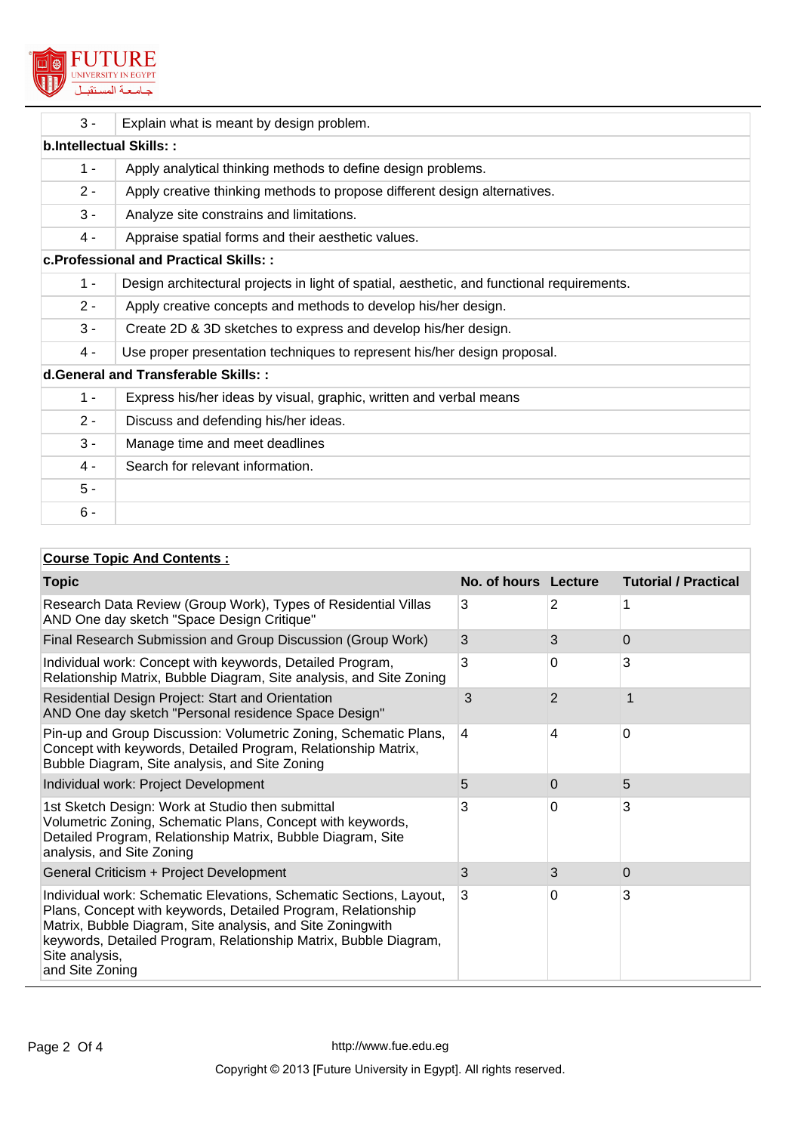

| $3 -$                                | Explain what is meant by design problem.                                                   |  |  |  |
|--------------------------------------|--------------------------------------------------------------------------------------------|--|--|--|
| b.Intellectual Skills::              |                                                                                            |  |  |  |
| $1 -$                                | Apply analytical thinking methods to define design problems.                               |  |  |  |
| $2 -$                                | Apply creative thinking methods to propose different design alternatives.                  |  |  |  |
| $3 -$                                | Analyze site constrains and limitations.                                                   |  |  |  |
| $4 -$                                | Appraise spatial forms and their aesthetic values.                                         |  |  |  |
|                                      | c. Professional and Practical Skills::                                                     |  |  |  |
| $1 -$                                | Design architectural projects in light of spatial, aesthetic, and functional requirements. |  |  |  |
| $2 -$                                | Apply creative concepts and methods to develop his/her design.                             |  |  |  |
| $3 -$                                | Create 2D & 3D sketches to express and develop his/her design.                             |  |  |  |
| 4 -                                  | Use proper presentation techniques to represent his/her design proposal.                   |  |  |  |
| d. General and Transferable Skills:: |                                                                                            |  |  |  |
| $1 -$                                | Express his/her ideas by visual, graphic, written and verbal means                         |  |  |  |
| $2 -$                                | Discuss and defending his/her ideas.                                                       |  |  |  |
| $3 -$                                | Manage time and meet deadlines                                                             |  |  |  |
| $4 -$                                | Search for relevant information.                                                           |  |  |  |
| $5 -$                                |                                                                                            |  |  |  |
| $6 -$                                |                                                                                            |  |  |  |

# **Course Topic And Contents :**

| <b>Topic</b>                                                                                                                                                                                                                                                                                              | No. of hours Lecture |          | <b>Tutorial / Practical</b> |
|-----------------------------------------------------------------------------------------------------------------------------------------------------------------------------------------------------------------------------------------------------------------------------------------------------------|----------------------|----------|-----------------------------|
| Research Data Review (Group Work), Types of Residential Villas<br>AND One day sketch "Space Design Critique"                                                                                                                                                                                              | 3                    | 2        | 1                           |
| Final Research Submission and Group Discussion (Group Work)                                                                                                                                                                                                                                               | 3                    | 3        | 0                           |
| Individual work: Concept with keywords, Detailed Program,<br>Relationship Matrix, Bubble Diagram, Site analysis, and Site Zoning                                                                                                                                                                          | 3                    | 0        | 3                           |
| Residential Design Project: Start and Orientation<br>AND One day sketch "Personal residence Space Design"                                                                                                                                                                                                 | 3                    | 2        |                             |
| Pin-up and Group Discussion: Volumetric Zoning, Schematic Plans,<br>Concept with keywords, Detailed Program, Relationship Matrix,<br>Bubble Diagram, Site analysis, and Site Zoning                                                                                                                       | $\overline{4}$       | 4        | $\Omega$                    |
| Individual work: Project Development                                                                                                                                                                                                                                                                      | 5                    | $\Omega$ | 5                           |
| 1st Sketch Design: Work at Studio then submittal<br>Volumetric Zoning, Schematic Plans, Concept with keywords,<br>Detailed Program, Relationship Matrix, Bubble Diagram, Site<br>analysis, and Site Zoning                                                                                                | 3                    | $\Omega$ | 3                           |
| General Criticism + Project Development                                                                                                                                                                                                                                                                   | 3                    | 3        | 0                           |
| Individual work: Schematic Elevations, Schematic Sections, Layout,<br>Plans, Concept with keywords, Detailed Program, Relationship<br>Matrix, Bubble Diagram, Site analysis, and Site Zoningwith<br>keywords, Detailed Program, Relationship Matrix, Bubble Diagram,<br>Site analysis,<br>and Site Zoning | 3                    | 0        | 3                           |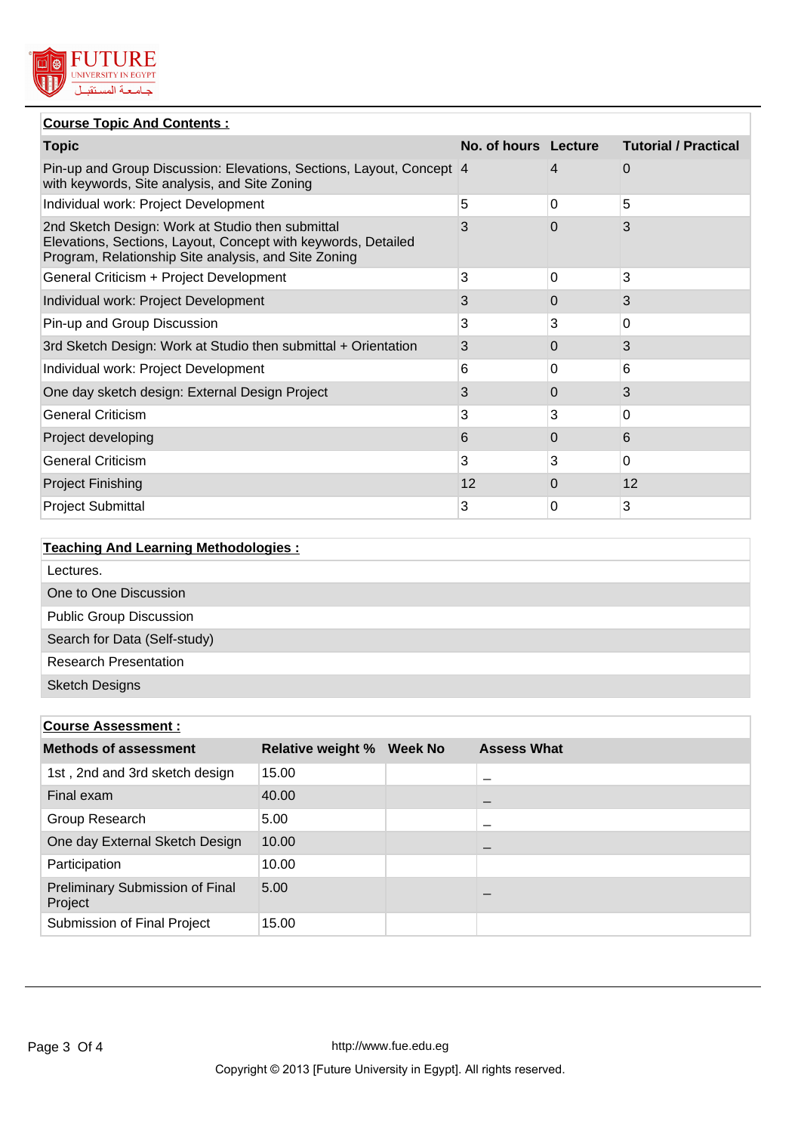

# **Course Topic And Contents :**

| <b>Topic</b>                                                                                                                                                              | No. of hours Lecture |   | <b>Tutorial / Practical</b> |
|---------------------------------------------------------------------------------------------------------------------------------------------------------------------------|----------------------|---|-----------------------------|
| Pin-up and Group Discussion: Elevations, Sections, Layout, Concept 4<br>with keywords, Site analysis, and Site Zoning                                                     |                      | 4 | 0                           |
| Individual work: Project Development                                                                                                                                      | 5                    | 0 | 5                           |
| 2nd Sketch Design: Work at Studio then submittal<br>Elevations, Sections, Layout, Concept with keywords, Detailed<br>Program, Relationship Site analysis, and Site Zoning | 3                    | 0 | 3                           |
| General Criticism + Project Development                                                                                                                                   | 3                    | 0 | 3                           |
| Individual work: Project Development                                                                                                                                      | 3                    | 0 | 3                           |
| Pin-up and Group Discussion                                                                                                                                               | 3                    | 3 | 0                           |
| 3rd Sketch Design: Work at Studio then submittal + Orientation                                                                                                            | 3                    | 0 | 3                           |
| Individual work: Project Development                                                                                                                                      | 6                    | 0 | 6                           |
| One day sketch design: External Design Project                                                                                                                            | 3                    | 0 | 3                           |
| <b>General Criticism</b>                                                                                                                                                  | 3                    | 3 | $\overline{0}$              |
| Project developing                                                                                                                                                        | 6                    | 0 | 6                           |
| <b>General Criticism</b>                                                                                                                                                  | 3                    | 3 | $\overline{0}$              |
| <b>Project Finishing</b>                                                                                                                                                  | 12                   | 0 | 12                          |
| <b>Project Submittal</b>                                                                                                                                                  | 3                    | 0 | 3                           |

| <b>Teaching And Learning Methodologies:</b> |
|---------------------------------------------|
| Lectures.                                   |
| One to One Discussion                       |
| <b>Public Group Discussion</b>              |
| Search for Data (Self-study)                |
| <b>Research Presentation</b>                |
| <b>Sketch Designs</b>                       |

| <b>Course Assessment:</b>                  |                          |                |                    |  |
|--------------------------------------------|--------------------------|----------------|--------------------|--|
| <b>Methods of assessment</b>               | <b>Relative weight %</b> | <b>Week No</b> | <b>Assess What</b> |  |
| 1st, 2nd and 3rd sketch design             | 15.00                    |                |                    |  |
| Final exam                                 | 40.00                    |                |                    |  |
| Group Research                             | 5.00                     |                |                    |  |
| One day External Sketch Design             | 10.00                    |                |                    |  |
| Participation                              | 10.00                    |                |                    |  |
| Preliminary Submission of Final<br>Project | 5.00                     |                |                    |  |
| Submission of Final Project                | 15.00                    |                |                    |  |